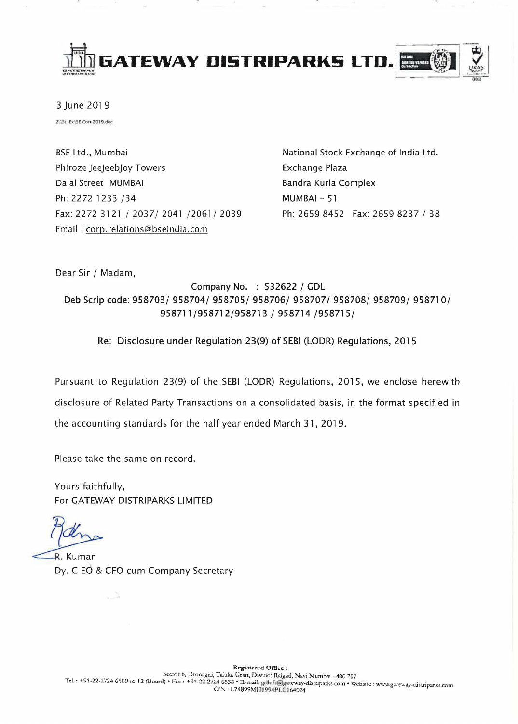

3 June 2019

Z:\St. Ex\SE Corr 2019.doc

**BSE Ltd., Mumbai** Phiroze Jeejeebjoy Towers Dalal Street MUMBAI Ph: 2272 1233 /34 Fax: 2272 3121 / 2037/ 2041 /2061/ 2039 Email: corp.relations@bseindia.com

National Stock Exchange of India Ltd. Exchange Plaza Bandra Kurla Complex  $MUMBAI - 51$ Ph: 2659 8452 Fax: 2659 8237 / 38

Dear Sir / Madam,

Company No. : 532622 / GDL Deb Scrip code: 958703/ 958704/ 958705/ 958706/ 958707/ 958708/ 958709/ 958710/ 958711/958712/958713 / 958714 /958715/

Re: Disclosure under Regulation 23(9) of SEBI (LODR) Regulations, 2015

Pursuant to Regulation 23(9) of the SEBI (LODR) Regulations, 2015, we enclose herewith disclosure of Related Party Transactions on a consolidated basis, in the format specified in the accounting standards for the half year ended March 31, 2019.

Please take the same on record.

Yours faithfully, For GATEWAY DISTRIPARKS LIMITED

R. Kumar Dy. C EO & CFO cum Company Secretary